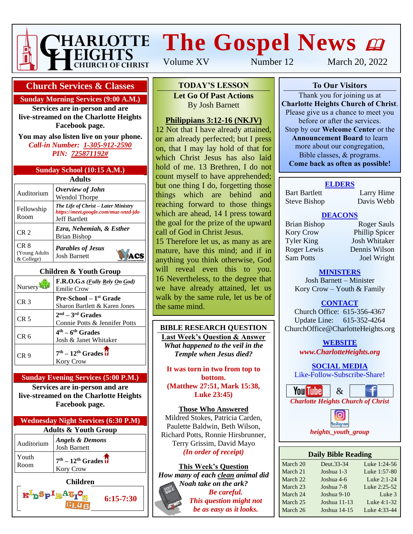

# **The Gospel News**

Volume XV Number 12 March 20, 2022

### **Church Services & Classes**

#### **Sunday Morning Services (9:00 A.M.)**

**Services are in-person and are live-streamed on the Charlotte Heights Facebook page.**

**You may also listen live on your phone.** *Call-in Number: 1-305-912-2590 PIN: 725871192#*

|  | Sunday School (10:15 A.M.) |
|--|----------------------------|
|  |                            |

| <b>Adults</b>                       |                                                                                                     |  |  |  |
|-------------------------------------|-----------------------------------------------------------------------------------------------------|--|--|--|
| Auditorium                          | Overview of John<br><b>Wendol Thorpe</b>                                                            |  |  |  |
| Fellowship<br>Room                  | The Life of Christ – Later Ministry<br>https://meet.google.com/muz-snzd-jdo<br><b>Jeff Bartlett</b> |  |  |  |
| CR <sub>2</sub>                     | Ezra, Nehemiah, & Esther<br>Brian Bishop                                                            |  |  |  |
| CR 8<br>(Young Adults<br>& College) | <b>Parables of Jesus</b><br><b>Josh Barnett</b>                                                     |  |  |  |

#### **Children & Youth Group**

| Nursery         | F.R.O.G.s ( <i>Fully Rely On God</i> )<br><b>Emilie Crow</b>     |
|-----------------|------------------------------------------------------------------|
| CR <sub>3</sub> | <b>Pre-School</b> – $1st$ Grade<br>Sharon Bartlett & Karen Jones |
| CR <sub>5</sub> | $2nd - 3rd$ Grades<br>Connie Potts & Jennifer Potts              |
| CR 6            | $4th - 6th$ Grades<br>Josh & Janet Whitaker                      |
| CR 9            | $7th - 12th$ Grades $\overline{\textbf{t}}$<br><b>Kory Crow</b>  |

#### **Sunday Evening Services (5:00 P.M.)**

**Services are in-person and are live-streamed on the Charlotte Heights Facebook page.**

| <b>Wednesday Night Services (6:30 P.M)</b> |                                                                 |  |  |
|--------------------------------------------|-----------------------------------------------------------------|--|--|
| <b>Adults &amp; Youth Group</b>            |                                                                 |  |  |
| Auditorium                                 | <b>Angels &amp; Demons</b><br><b>Josh Barnett</b>               |  |  |
| Youth<br>Room                              | $7th - 12th$ Grades $\overline{\textbf{d}}$<br><b>Kory Crow</b> |  |  |

**Children**

 $\mathbf{R}^{\mathrm{I}}$ p $\mathbf{S}_{\mathrm{P}}$   $\mathbf{I}_{\mathrm{R}}$ A $\mathbf{G}_{\mathrm{I}}$ 

**6:15-7:30**

**To Our Visitors TODAY'S LESSON**

**Let Go Of Past Actions Charlotte Heights Christian Barnett** 

#### Please give us a chance to meet you **Philippians 3:12-16 (NKJV)**

12 Not that I have already attained, or am already perfected; but I press on, that I may lay hold of that for which Christ Jesus has also laid hold of me. 13 Brethren, I do not count myself to have apprehended; but one thing I do, forgetting those things which are behind and reaching forward to those things which are ahead, 14 I press toward the goal for the prize of the upward call of God in Christ Jesus.

15 Therefore let us, as many as are mature, have this mind; and if in anything you think otherwise, God will reveal even this to you. 16 Nevertheless, to the degree that we have already attained, let us walk by the same rule, let us be of the same mind.

#### **BIBLE RESEARCH QUESTION Last Week's Question & Answer** *What happened to the veil in the Temple when Jesus died?*

#### **It was torn in two from top to bottom. (Matthew 27:51, Mark 15:38, Luke 23:45)**

**Those Who Answered** Mildred Stokes, Patricia Carden, Paulette Baldwin, Beth Wilson, Richard Potts, Ronnie Hirsbrunner, Terry Grissim, David Mayo *(In order of receipt)*

**This Week's Question** *How many of each clean animal did Noah take on the ark? Be careful. This question might not be as easy as it looks.*

**To Our Visitors**

Thank you for joining us at **Charlotte Heights Church of Christ**. Please give us a chance to meet you before or after the services. Stop by our **Welcome Center** or the **Announcement Board** to learn more about our congregation, Bible classes, & programs. **Come back as often as possible!**

#### **ELDERS**

Bart Bartlett Larry Hime Steve Bishop Davis Webb

#### **DEACONS**

Kory Crow Phillip Spicer Tyler King Josh Whitaker Roger Lewis Dennis Wilson Sam Potts **Joel Wright** 

Brian Bishop Roger Sauls

### **MINISTERS**

Josh Barnett – Minister Kory Crow – Youth & Family

**CONTACT**

Church Office: 615-356-4367 Update Line: 615-352-4264 ChurchOffice@CharlotteHeights.org

**WEBSITE**

**Media Postings** *www.CharlotteHeights.org*

**SOCIAL MEDIA** Like-Follow-Subscribe-Share!



• Sunday Adult Auditorium Class nstagram • Wednesday Adult Bible Study *heights\_youth\_group*

| <b>Daily Bible Reading</b> |              |  |  |  |  |
|----------------------------|--------------|--|--|--|--|
| Deut.33-34                 | Luke 1:24-56 |  |  |  |  |
| Joshua 1-3                 | Luke 1:57-80 |  |  |  |  |
| Joshua 4-6                 | Luke 2:1-24  |  |  |  |  |
| Joshua 7-8                 | Luke 2:25-52 |  |  |  |  |
| Joshua 9-10                | Luke 3       |  |  |  |  |
| Joshua 11-13               | Luke 4:1-32  |  |  |  |  |
| Joshua 14-15               | Luke 4:33-44 |  |  |  |  |
|                            |              |  |  |  |  |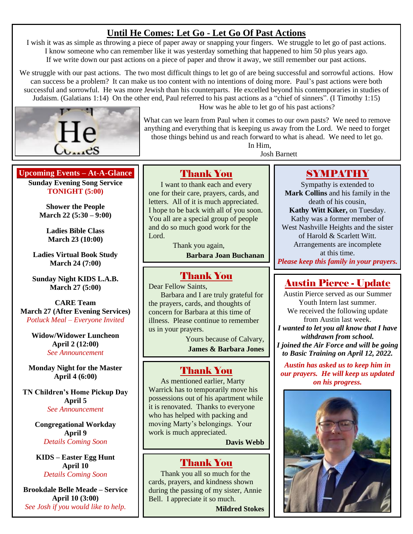## **Until He Comes: Let Go - Let Go Of Past Actions**

I wish it was as simple as throwing a piece of paper away or snapping your fingers. We struggle to let go of past actions. I know someone who can remember like it was yesterday something that happened to him 50 plus years ago. If we write down our past actions on a piece of paper and throw it away, we still remember our past actions.

We struggle with our past actions. The two most difficult things to let go of are being successful and sorrowful actions. How can success be a problem? It can make us too content with no intentions of doing more. Paul's past actions were both successful and sorrowful. He was more Jewish than his counterparts. He excelled beyond his contemporaries in studies of Judaism. (Galatians 1:14) On the other end, Paul referred to his past actions as a "chief of sinners". (I Timothy 1:15)



How was he able to let go of his past actions?

What can we learn from Paul when it comes to our own pasts? We need to remove anything and everything that is keeping us away from the Lord. We need to forget those things behind us and reach forward to what is ahead. We need to let go. In Him,

Josh Barnett

## **Upcoming Events – At-A-Glance**

**Sunday Evening Song Service TONIGHT (5:00)**

> **Shower the People March 22 (5:30 – 9:00)**

**Ladies Bible Class March 23 (10:00)**

**Ladies Virtual Book Study March 24 (7:00)**

**Sunday Night KIDS L.A.B. March 27 (5:00)**

**CARE Team March 27 (After Evening Services)** *Potluck Meal – Everyone Invited*

> **Widow/Widower Luncheon April 2 (12:00)** *See Announcement*

**Monday Night for the Master April 4 (6:00)**

**TN Children's Home Pickup Day April 5** *See Announcement*

> **Congregational Workday April 9** *Details Coming Soon*

**KIDS – Easter Egg Hunt April 10** *Details Coming Soon*

**Brookdale Belle Meade – Service April 10 (3:00)** *See Josh if you would like to help.*

## Thank You

I want to thank each and every one for their care, prayers, cards, and letters. All of it is much appreciated. I hope to be back with all of you soon. You all are a special group of people and do so much good work for the Lord.

> Thank you again, **Barbara Joan Buchanan**

## Thank You

Dear Fellow Saints, Barbara and I are truly grateful for the prayers, cards, and thoughts of concern for Barbara at this time of illness. Please continue to remember us in your prayers.

> Yours because of Calvary, **James & Barbara Jones**

## Thank You

As mentioned earlier, Marty Warrick has to temporarily move his possessions out of his apartment while it is renovated. Thanks to everyone who has helped with packing and moving Marty's belongings. Your work is much appreciated.

**Davis Webb**

## Thank You

Thank you all so much for the cards, prayers, and kindness shown during the passing of my sister, Annie Bell. I appreciate it so much.

**Mildred Stokes**

## SYMPATHY

Sympathy is extended to **Mark Collins** and his family in the death of his cousin, **Kathy Witt Kiker,** on Tuesday. Kathy was a former member of West Nashville Heights and the sister of Harold & Scarlett Witt. Arrangements are incomplete at this time. *Please keep this family in your prayers.*

## Austin Pierce - Update

Austin Pierce served as our Summer Youth Intern last summer. We received the following update from Austin last week. *I wanted to let you all know that I have withdrawn from school. I joined the Air Force and will be going to Basic Training on April 12, 2022.*

*Austin has asked us to keep him in our prayers. He will keep us updated on his progress.*

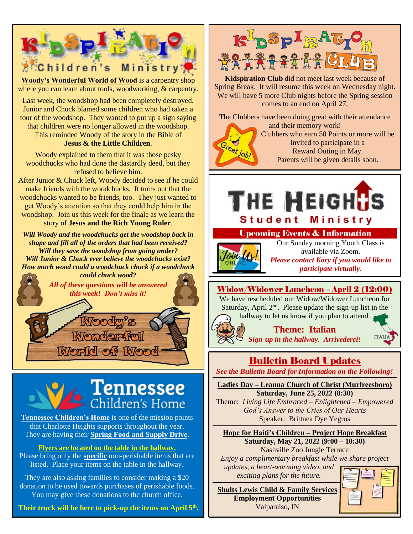

**Woody's Wonderful World of Wood** is a carpentry shop where you can learn about tools, woodworking, & carpentry.

Last week, the woodshop had been completely destroyed. Junior and Chuck blamed some children who had taken a tour of the woodshop. They wanted to put up a sign saying that children were no longer allowed in the woodshop. This reminded Woody of the story in the Bible of **Jesus & the Little Children**.

Woody explained to them that it was those pesky woodchucks who had done the dastardly deed, but they refused to believe him.

After Junior & Chuck left, Woody decided to see if he could make friends with the woodchucks. It turns out that the woodchucks wanted to be friends, too. They just wanted to get Woody's attention so that they could help him in the woodshop. Join us this week for the finale as we learn the story of **Jesus and the Rich Young Ruler**.

*Will Woody and the woodchucks get the woodshop back in shape and fill all of the orders that had been received? Will they save the woodshop from going under? Will Junior & Chuck ever believe the woodchucks exist? How much wood could a woodchuck chuck if a woodchuck could chuck wood?*



Woodg's **Wonderful** World of Wood

## $\epsilon$  Tennessee Children's Home

**Tennessee Children's Home** is one of the mission points that Charlotte Heights supports throughout the year. They are having their **Spring Food and Supply Drive**.

## **Flyers are located on the table in the hallway.**

Please bring only the **specific** non-perishable items that are listed. Place your items on the table in the hallway.

They are also asking families to consider making a \$20 donation to be used towards purchases of perishable foods. You may give these donations to the church office.

**Their truck will be here to pick-up the items on April 5 th .**



**Kidspiration Club** did not meet last week because of Spring Break. It will resume this week on Wednesday night. We will have 5 more Club nights before the Spring session comes to an end on April 27.

The Clubbers have been doing great with their attendance

and their memory work! Clubbers who earn 50 Points or more will be invited to participate in a Reward Outing in May. Parents will be given details soon.



## Upcoming Events & Information



Our Sunday morning Youth Class is available via Zoom. *Please contact Kory if you would like to participate virtually.*

## Widow/Widower Luncheon – April 2 (12:00)

We have rescheduled our Widow/Widower Luncheon for Saturday, April  $2<sup>nd</sup>$ . Please update the sign-up list in the hallway to let us know if you plan to attend.

> **Theme: Italian** *Sign-up in the hallway. Arrivederci!*

## Bulletin Board Updates

*See the Bulletin Board for Information on the Following!*

**Ladies Day – Leanna Church of Christ (Murfreesboro) Saturday, June 25, 2022 (8:30)**

Theme: *Living Life Embraced – Enlightened – Empowered God's Answer to the Cries of Our Hearts* Speaker: Brittnea Dye Yegros

**Hope for Haiti's Children – Project Hope Breakfast Saturday, May 21, 2022 (9:00 – 10:30)** Nashville Zoo Jungle Terrace

*Enjoy a complimentary breakfast while we share project updates, a heart-warming video, and exciting plans for the future.*

**Shults Lewis Child & Family Services Employment Opportunities** Valparaiso, IN



**ITALIA**